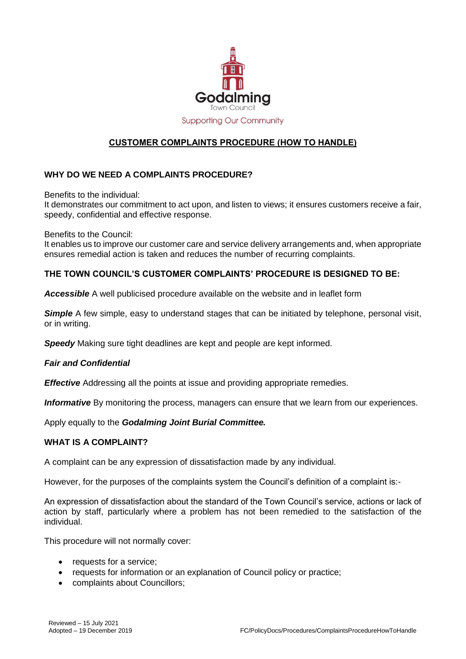

# **CUSTOMER COMPLAINTS PROCEDURE (HOW TO HANDLE)**

# **WHY DO WE NEED A COMPLAINTS PROCEDURE?**

Benefits to the individual:

It demonstrates our commitment to act upon, and listen to views; it ensures customers receive a fair, speedy, confidential and effective response.

Benefits to the Council:

It enables us to improve our customer care and service delivery arrangements and, when appropriate ensures remedial action is taken and reduces the number of recurring complaints.

# **THE TOWN COUNCIL'S CUSTOMER COMPLAINTS' PROCEDURE IS DESIGNED TO BE:**

*Accessible* A well publicised procedure available on the website and in leaflet form

*Simple* A few simple, easy to understand stages that can be initiated by telephone, personal visit, or in writing.

*Speedy* Making sure tight deadlines are kept and people are kept informed.

#### *Fair and Confidential*

*Effective* Addressing all the points at issue and providing appropriate remedies.

**Informative** By monitoring the process, managers can ensure that we learn from our experiences.

Apply equally to the *Godalming Joint Burial Committee.*

#### **WHAT IS A COMPLAINT?**

A complaint can be any expression of dissatisfaction made by any individual.

However, for the purposes of the complaints system the Council's definition of a complaint is:-

An expression of dissatisfaction about the standard of the Town Council's service, actions or lack of action by staff, particularly where a problem has not been remedied to the satisfaction of the individual.

This procedure will not normally cover:

- requests for a service;
- requests for information or an explanation of Council policy or practice;
- complaints about Councillors;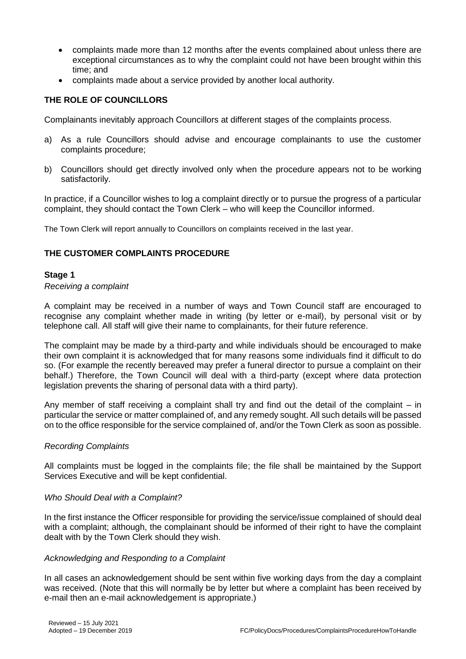- complaints made more than 12 months after the events complained about unless there are exceptional circumstances as to why the complaint could not have been brought within this time; and
- complaints made about a service provided by another local authority.

# **THE ROLE OF COUNCILLORS**

Complainants inevitably approach Councillors at different stages of the complaints process.

- a) As a rule Councillors should advise and encourage complainants to use the customer complaints procedure;
- b) Councillors should get directly involved only when the procedure appears not to be working satisfactorily.

In practice, if a Councillor wishes to log a complaint directly or to pursue the progress of a particular complaint, they should contact the Town Clerk – who will keep the Councillor informed.

The Town Clerk will report annually to Councillors on complaints received in the last year.

# **THE CUSTOMER COMPLAINTS PROCEDURE**

## **Stage 1**

## *Receiving a complaint*

A complaint may be received in a number of ways and Town Council staff are encouraged to recognise any complaint whether made in writing (by letter or e-mail), by personal visit or by telephone call. All staff will give their name to complainants, for their future reference.

The complaint may be made by a third-party and while individuals should be encouraged to make their own complaint it is acknowledged that for many reasons some individuals find it difficult to do so. (For example the recently bereaved may prefer a funeral director to pursue a complaint on their behalf.) Therefore, the Town Council will deal with a third-party (except where data protection legislation prevents the sharing of personal data with a third party).

Any member of staff receiving a complaint shall try and find out the detail of the complaint – in particular the service or matter complained of, and any remedy sought. All such details will be passed on to the office responsible for the service complained of, and/or the Town Clerk as soon as possible.

#### *Recording Complaints*

All complaints must be logged in the complaints file; the file shall be maintained by the Support Services Executive and will be kept confidential.

#### *Who Should Deal with a Complaint?*

In the first instance the Officer responsible for providing the service/issue complained of should deal with a complaint; although, the complainant should be informed of their right to have the complaint dealt with by the Town Clerk should they wish.

#### *Acknowledging and Responding to a Complaint*

In all cases an acknowledgement should be sent within five working days from the day a complaint was received. (Note that this will normally be by letter but where a complaint has been received by e-mail then an e-mail acknowledgement is appropriate.)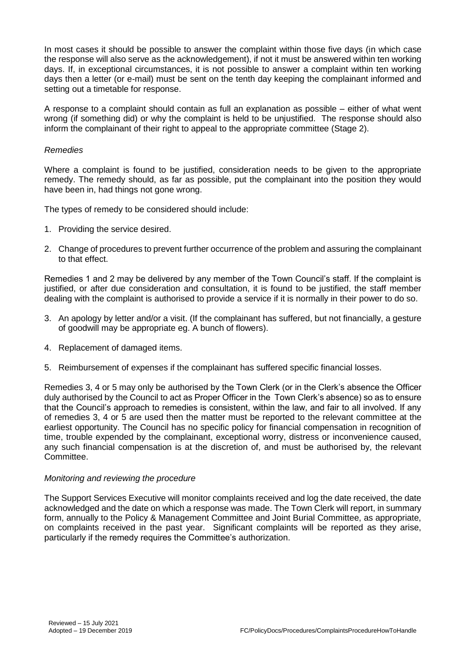In most cases it should be possible to answer the complaint within those five days (in which case the response will also serve as the acknowledgement), if not it must be answered within ten working days. If, in exceptional circumstances, it is not possible to answer a complaint within ten working days then a letter (or e-mail) must be sent on the tenth day keeping the complainant informed and setting out a timetable for response.

A response to a complaint should contain as full an explanation as possible – either of what went wrong (if something did) or why the complaint is held to be unjustified. The response should also inform the complainant of their right to appeal to the appropriate committee (Stage 2).

## *Remedies*

Where a complaint is found to be justified, consideration needs to be given to the appropriate remedy. The remedy should, as far as possible, put the complainant into the position they would have been in, had things not gone wrong.

The types of remedy to be considered should include:

- 1. Providing the service desired.
- 2. Change of procedures to prevent further occurrence of the problem and assuring the complainant to that effect.

Remedies 1 and 2 may be delivered by any member of the Town Council's staff. If the complaint is justified, or after due consideration and consultation, it is found to be justified, the staff member dealing with the complaint is authorised to provide a service if it is normally in their power to do so.

- 3. An apology by letter and/or a visit. (If the complainant has suffered, but not financially, a gesture of goodwill may be appropriate eg. A bunch of flowers).
- 4. Replacement of damaged items.
- 5. Reimbursement of expenses if the complainant has suffered specific financial losses.

Remedies 3, 4 or 5 may only be authorised by the Town Clerk (or in the Clerk's absence the Officer duly authorised by the Council to act as Proper Officer in the Town Clerk's absence) so as to ensure that the Council's approach to remedies is consistent, within the law, and fair to all involved. If any of remedies 3, 4 or 5 are used then the matter must be reported to the relevant committee at the earliest opportunity. The Council has no specific policy for financial compensation in recognition of time, trouble expended by the complainant, exceptional worry, distress or inconvenience caused, any such financial compensation is at the discretion of, and must be authorised by, the relevant Committee.

#### *Monitoring and reviewing the procedure*

The Support Services Executive will monitor complaints received and log the date received, the date acknowledged and the date on which a response was made. The Town Clerk will report, in summary form, annually to the Policy & Management Committee and Joint Burial Committee, as appropriate, on complaints received in the past year. Significant complaints will be reported as they arise, particularly if the remedy requires the Committee's authorization.